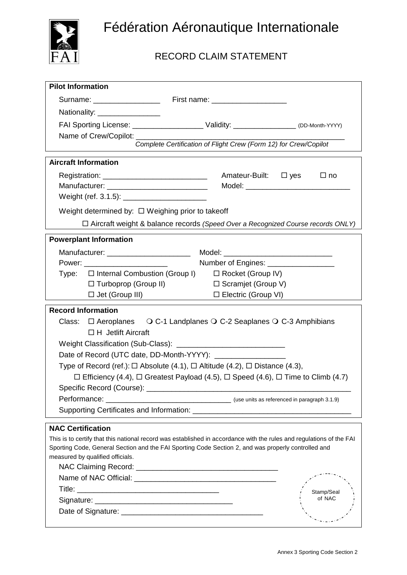

## RECORD CLAIM STATEMENT

| <b>Pilot Information</b>                                                                                             |                                                                  |            |
|----------------------------------------------------------------------------------------------------------------------|------------------------------------------------------------------|------------|
|                                                                                                                      |                                                                  |            |
| Nationality: __________________                                                                                      |                                                                  |            |
| FAI Sporting License: ________________________ Validity: ________________ (DD-Month-YYYY)                            |                                                                  |            |
| Name of Crew/Copilot: _________                                                                                      |                                                                  |            |
|                                                                                                                      | Complete Certification of Flight Crew (Form 12) for Crew/Copilot |            |
| <b>Aircraft Information</b>                                                                                          |                                                                  |            |
|                                                                                                                      | Amateur-Built: $\Box$ yes                                        | $\Box$ no  |
|                                                                                                                      |                                                                  |            |
|                                                                                                                      |                                                                  |            |
| Weight determined by: $\Box$ Weighing prior to takeoff                                                               |                                                                  |            |
| $\Box$ Aircraft weight & balance records (Speed Over a Recognized Course records ONLY)                               |                                                                  |            |
|                                                                                                                      |                                                                  |            |
| <b>Powerplant Information</b>                                                                                        |                                                                  |            |
|                                                                                                                      |                                                                  |            |
| Power: __________________________                                                                                    |                                                                  |            |
| Type: □ Internal Combustion (Group I)                                                                                | $\Box$ Rocket (Group IV)                                         |            |
| $\Box$ Turboprop (Group II)                                                                                          | □ Scramjet (Group V)                                             |            |
| $\Box$ Jet (Group III)                                                                                               | □ Electric (Group VI)                                            |            |
| <b>Record Information</b>                                                                                            |                                                                  |            |
| Class: $\Box$ Aeroplanes $\bigcirc$ C-1 Landplanes $\bigcirc$ C-2 Seaplanes $\bigcirc$ C-3 Amphibians                |                                                                  |            |
| $\Box$ H Jetlift Aircraft                                                                                            |                                                                  |            |
|                                                                                                                      |                                                                  |            |
|                                                                                                                      |                                                                  |            |
| Type of Record (ref.): $\Box$ Absolute (4.1), $\Box$ Altitude (4.2), $\Box$ Distance (4.3),                          |                                                                  |            |
| $\Box$ Efficiency (4.4), $\Box$ Greatest Payload (4.5), $\Box$ Speed (4.6), $\Box$ Time to Climb (4.7)               |                                                                  |            |
|                                                                                                                      |                                                                  |            |
| Performance: _                                                                                                       | (use units as referenced in paragraph 3.1.9)                     |            |
|                                                                                                                      |                                                                  |            |
| <b>NAC Certification</b>                                                                                             |                                                                  |            |
| This is to certify that this national record was established in accordance with the rules and regulations of the FAI |                                                                  |            |
| Sporting Code, General Section and the FAI Sporting Code Section 2, and was properly controlled and                  |                                                                  |            |
| measured by qualified officials.                                                                                     |                                                                  |            |
|                                                                                                                      |                                                                  |            |
|                                                                                                                      |                                                                  |            |
|                                                                                                                      |                                                                  | Stamp/Seal |
|                                                                                                                      |                                                                  | of NAC     |
|                                                                                                                      |                                                                  |            |
|                                                                                                                      |                                                                  |            |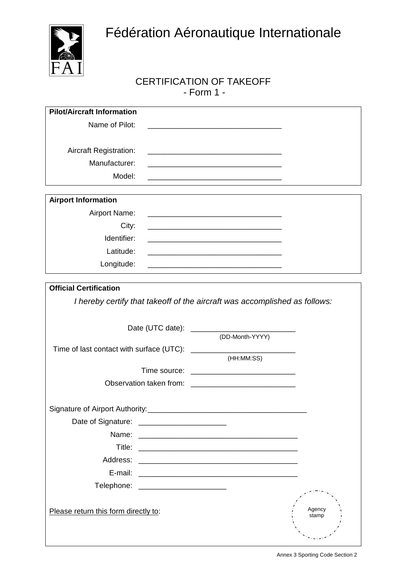

## CERTIFICATION OF TAKEOFF - Form 1 -

| <b>Pilot/Aircraft Information</b>    |                                                                                                                       |                 |
|--------------------------------------|-----------------------------------------------------------------------------------------------------------------------|-----------------|
| Name of Pilot:                       |                                                                                                                       |                 |
|                                      | <u> 1989 - Johann John Stone, markin film yn y brenin y brenin y brenin y brenin y brenin y brenin y brenin y br</u>  |                 |
| <b>Aircraft Registration:</b>        |                                                                                                                       |                 |
| Manufacturer:                        | <u> 1989 - Jan James James Barnett, fransk politik (d. 1989)</u>                                                      |                 |
| Model:                               |                                                                                                                       |                 |
|                                      |                                                                                                                       |                 |
| <b>Airport Information</b>           |                                                                                                                       |                 |
| <b>Airport Name:</b>                 | <u> 1980 - Johann Barn, mars eta bainar eta bainar eta baina eta baina eta baina eta baina eta baina eta baina e</u>  |                 |
| City:                                | <u> 1989 - Johann Stoff, deutscher Stoff, der Stoff, der Stoff, der Stoff, der Stoff, der Stoff, der Stoff, der S</u> |                 |
| Identifier:                          |                                                                                                                       |                 |
| Latitude:                            |                                                                                                                       |                 |
| Longitude:                           | <u> 1989 - Johann Stoff, Amerikaansk politiker (* 1908)</u>                                                           |                 |
|                                      |                                                                                                                       |                 |
| <b>Official Certification</b>        |                                                                                                                       |                 |
|                                      | I hereby certify that takeoff of the aircraft was accomplished as follows:                                            |                 |
|                                      |                                                                                                                       |                 |
|                                      | Date (UTC date): ___________________                                                                                  |                 |
|                                      | (DD-Month-YYYY)                                                                                                       |                 |
|                                      |                                                                                                                       |                 |
|                                      | (HH:MM:SS)                                                                                                            |                 |
|                                      |                                                                                                                       |                 |
|                                      |                                                                                                                       |                 |
|                                      |                                                                                                                       |                 |
|                                      |                                                                                                                       |                 |
|                                      |                                                                                                                       |                 |
| Name:                                |                                                                                                                       |                 |
|                                      |                                                                                                                       |                 |
| Address:                             |                                                                                                                       |                 |
|                                      |                                                                                                                       |                 |
| Telephone: _________________________ |                                                                                                                       |                 |
|                                      |                                                                                                                       |                 |
| Please return this form directly to: |                                                                                                                       | Agency<br>stamp |
|                                      |                                                                                                                       |                 |
|                                      |                                                                                                                       |                 |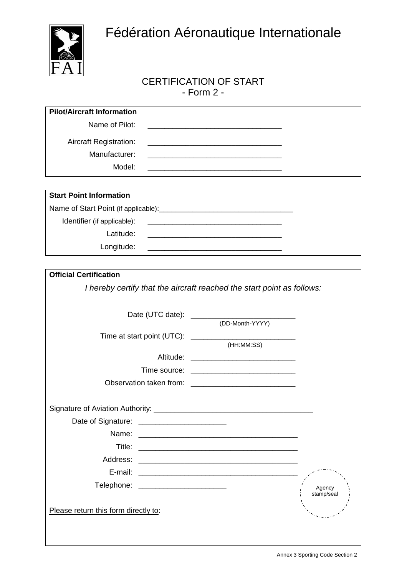

#### CERTIFICATION OF START - Form 2 -

| <b>Pilot/Aircraft Information</b>                                      |                                                                                                                        |
|------------------------------------------------------------------------|------------------------------------------------------------------------------------------------------------------------|
| Name of Pilot:                                                         | <u> 1989 - Johann Barn, mars ann an t-Amhain ann an t-Amhain an t-Amhain an t-Amhain an t-Amhain an t-Amhain an t-</u> |
| <b>Aircraft Registration:</b>                                          |                                                                                                                        |
| Manufacturer:                                                          |                                                                                                                        |
| Model:                                                                 |                                                                                                                        |
|                                                                        |                                                                                                                        |
| <b>Start Point Information</b>                                         |                                                                                                                        |
|                                                                        |                                                                                                                        |
| Identifier (if applicable):                                            |                                                                                                                        |
| Latitude:                                                              |                                                                                                                        |
| Longitude:                                                             |                                                                                                                        |
|                                                                        |                                                                                                                        |
| <b>Official Certification</b>                                          |                                                                                                                        |
| I hereby certify that the aircraft reached the start point as follows: | (DD-Month-YYYY)                                                                                                        |
|                                                                        |                                                                                                                        |
|                                                                        | (HH:MM:SS)                                                                                                             |
|                                                                        | Altitude: ___________________________________                                                                          |
|                                                                        |                                                                                                                        |
|                                                                        |                                                                                                                        |
|                                                                        |                                                                                                                        |
| Date of Signature: ________________________                            |                                                                                                                        |
| Name:                                                                  |                                                                                                                        |
|                                                                        |                                                                                                                        |
|                                                                        |                                                                                                                        |
| E-mail:                                                                |                                                                                                                        |

Agency stamp/seal

Please return this form directly to:

Telephone: \_\_\_\_\_\_\_\_\_\_\_\_\_\_\_\_\_\_\_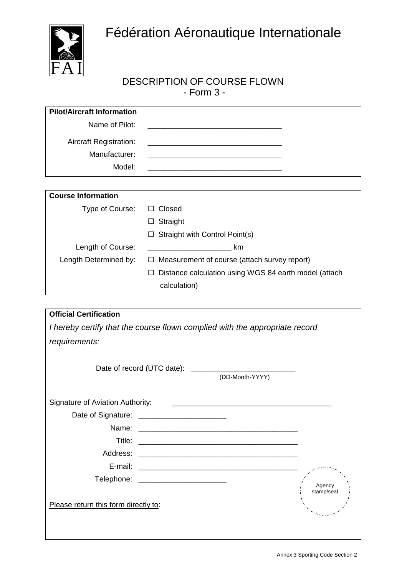

### DESCRIPTION OF COURSE FLOWN - Form 3 -

| <b>Pilot/Aircraft Information</b>              |                                                            |
|------------------------------------------------|------------------------------------------------------------|
| Name of Pilot:                                 |                                                            |
| <b>Aircraft Registration:</b><br>Manufacturer: |                                                            |
|                                                |                                                            |
| Model:                                         |                                                            |
|                                                |                                                            |
| <b>Course Information</b>                      |                                                            |
| Type of Course:                                | Closed<br>ப                                                |
|                                                | Straight<br>ப                                              |
|                                                | Straight with Control Point(s)                             |
| Length of Course:                              | km                                                         |
| Length Determined by:                          | Measurement of course (attach survey report)<br>$\Box$     |
|                                                | Distance calculation using WGS 84 earth model (attach<br>П |
|                                                | calculation)                                               |

| <b>Official Certification</b>                                               |                                        |                 |            |
|-----------------------------------------------------------------------------|----------------------------------------|-----------------|------------|
| I hereby certify that the course flown complied with the appropriate record |                                        |                 |            |
| requirements:                                                               |                                        |                 |            |
|                                                                             |                                        | (DD-Month-YYYY) |            |
| Signature of Aviation Authority:                                            |                                        |                 |            |
|                                                                             |                                        |                 |            |
|                                                                             |                                        |                 |            |
|                                                                             |                                        |                 |            |
|                                                                             |                                        |                 |            |
|                                                                             |                                        |                 |            |
|                                                                             | Telephone: ___________________________ |                 | Agency     |
| Please return this form directly to:                                        |                                        |                 | stamp/seal |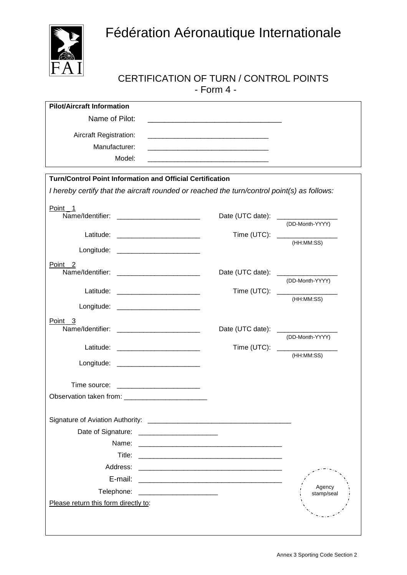

#### CERTIFICATION OF TURN / CONTROL POINTS - Form 4 -

| <b>Pilot/Aircraft Information</b>                                                                                                                               |                                                                                                                        |                                             |
|-----------------------------------------------------------------------------------------------------------------------------------------------------------------|------------------------------------------------------------------------------------------------------------------------|---------------------------------------------|
| Name of Pilot:                                                                                                                                                  |                                                                                                                        |                                             |
| <b>Aircraft Registration:</b>                                                                                                                                   | <u> 1989 - Johann Barn, mars an t-Amerikaansk politiker (* 1908)</u>                                                   |                                             |
| Manufacturer:                                                                                                                                                   |                                                                                                                        |                                             |
| Model:                                                                                                                                                          |                                                                                                                        |                                             |
|                                                                                                                                                                 |                                                                                                                        |                                             |
| <b>Turn/Control Point Information and Official Certification</b><br>I hereby certify that the aircraft rounded or reached the turn/control point(s) as follows: |                                                                                                                        |                                             |
| Point <sub>1</sub>                                                                                                                                              |                                                                                                                        | Date (UTC date): _________________          |
|                                                                                                                                                                 |                                                                                                                        | (DD-Month-YYYY)                             |
|                                                                                                                                                                 |                                                                                                                        | Time (UTC): _________________<br>(HH:MM:SS) |
| Longitude: _________________________                                                                                                                            |                                                                                                                        |                                             |
| Point <sub>2</sub><br>Name/Identifier: _________________________                                                                                                |                                                                                                                        | Date (UTC date): _________________          |
|                                                                                                                                                                 |                                                                                                                        | (DD-Month-YYYY)                             |
|                                                                                                                                                                 |                                                                                                                        | Time (UTC): ________________<br>(HH:MM:SS)  |
| Longitude: __________________________                                                                                                                           |                                                                                                                        |                                             |
| Point 3                                                                                                                                                         |                                                                                                                        | Date (UTC date): _________________          |
|                                                                                                                                                                 |                                                                                                                        | (DD-Month-YYYY)                             |
|                                                                                                                                                                 |                                                                                                                        | Time (UTC): _________________<br>(HH:MM:SS) |
| Longitude: __________________________                                                                                                                           |                                                                                                                        |                                             |
| Time source: ________________________                                                                                                                           |                                                                                                                        |                                             |
|                                                                                                                                                                 |                                                                                                                        |                                             |
|                                                                                                                                                                 |                                                                                                                        |                                             |
| Date of Signature:                                                                                                                                              |                                                                                                                        |                                             |
| Name:                                                                                                                                                           | <u> 1980 - Johann Stoff, deutscher Stoff, der Stoff, deutscher Stoff, der Stoff, der Stoff, der Stoff, der Stoff, </u> |                                             |
| Title:                                                                                                                                                          |                                                                                                                        |                                             |
| Address:                                                                                                                                                        |                                                                                                                        |                                             |
| E-mail:                                                                                                                                                         | <u> 1980 - Jan Berlin, margaret mendeko bat hamar hamar hamar hamar hamar hamar hamar hamar hamar hamar hamar ha</u>   |                                             |
| Telephone:                                                                                                                                                      |                                                                                                                        | Agency<br>stamp/seal                        |
| Please return this form directly to:                                                                                                                            |                                                                                                                        |                                             |
|                                                                                                                                                                 |                                                                                                                        |                                             |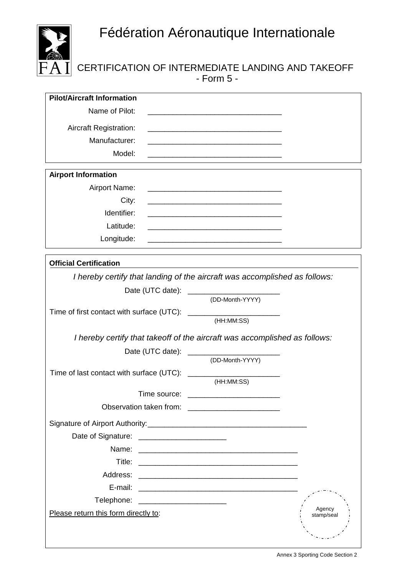

## CERTIFICATION OF INTERMEDIATE LANDING AND TAKEOFF - Form 5 -

| Name of Pilot:                                                                                                                               |  |
|----------------------------------------------------------------------------------------------------------------------------------------------|--|
| <b>Aircraft Registration:</b>                                                                                                                |  |
| Manufacturer:                                                                                                                                |  |
| Model:                                                                                                                                       |  |
| <b>Airport Information</b>                                                                                                                   |  |
| <b>Airport Name:</b><br><u> 1980 - Johann John Stone, market fan it ferskearre fan it ferskearre fan it ferskearre fan it ferskearre fan</u> |  |
| City:                                                                                                                                        |  |
| Identifier:                                                                                                                                  |  |
| Latitude:                                                                                                                                    |  |
| Longitude:<br><u> 1980 - Johann John Stone, mars eta biztanleria (h. 1980).</u>                                                              |  |
| <b>Official Certification</b>                                                                                                                |  |
| I hereby certify that landing of the aircraft was accomplished as follows:                                                                   |  |
|                                                                                                                                              |  |
| (DD-Month-YYYY)                                                                                                                              |  |
|                                                                                                                                              |  |
| (HH:MM:SS)                                                                                                                                   |  |
| I hereby certify that takeoff of the aircraft was accomplished as follows:                                                                   |  |
| Date (UTC date): _________________                                                                                                           |  |
| (DD-Month-YYYY)                                                                                                                              |  |
| (HH:MM:SS)                                                                                                                                   |  |
| Time source:                                                                                                                                 |  |
|                                                                                                                                              |  |
|                                                                                                                                              |  |
| Date of Signature: __________________________                                                                                                |  |
| Name:                                                                                                                                        |  |
|                                                                                                                                              |  |
|                                                                                                                                              |  |
|                                                                                                                                              |  |
| Telephone: ________________________                                                                                                          |  |
| Agency<br>Please return this form directly to:<br>stamp/seal                                                                                 |  |
|                                                                                                                                              |  |
|                                                                                                                                              |  |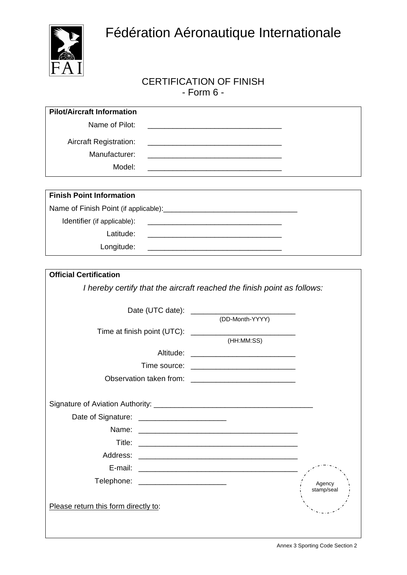

#### CERTIFICATION OF FINISH - Form 6 -

| <b>Pilot/Aircraft Information</b>     |                                                                                                                      |            |
|---------------------------------------|----------------------------------------------------------------------------------------------------------------------|------------|
| Name of Pilot:                        |                                                                                                                      |            |
| <b>Aircraft Registration:</b>         |                                                                                                                      |            |
| Manufacturer:                         |                                                                                                                      |            |
| Model:                                |                                                                                                                      |            |
|                                       |                                                                                                                      |            |
| <b>Finish Point Information</b>       |                                                                                                                      |            |
|                                       |                                                                                                                      |            |
| Identifier (if applicable):           |                                                                                                                      |            |
| Latitude:                             | <u> 1989 - Johann Barn, amerikan besteman besteman besteman besteman besteman besteman besteman besteman bestema</u> |            |
| Longitude:                            |                                                                                                                      |            |
|                                       |                                                                                                                      |            |
| <b>Official Certification</b>         |                                                                                                                      |            |
|                                       | I hereby certify that the aircraft reached the finish point as follows:                                              |            |
|                                       |                                                                                                                      |            |
|                                       | (DD-Month-YYYY)                                                                                                      |            |
|                                       |                                                                                                                      |            |
|                                       | (HH:MM:SS)                                                                                                           |            |
|                                       |                                                                                                                      |            |
|                                       |                                                                                                                      |            |
|                                       |                                                                                                                      |            |
|                                       |                                                                                                                      |            |
| Signature of Aviation Authority:      |                                                                                                                      |            |
|                                       |                                                                                                                      |            |
| Name:                                 |                                                                                                                      |            |
| Title:                                |                                                                                                                      |            |
|                                       |                                                                                                                      |            |
|                                       |                                                                                                                      |            |
| Telephone: __________________________ |                                                                                                                      | Agency     |
|                                       |                                                                                                                      | stamp/seal |
| Please return this form directly to:  |                                                                                                                      |            |
|                                       |                                                                                                                      |            |
|                                       |                                                                                                                      |            |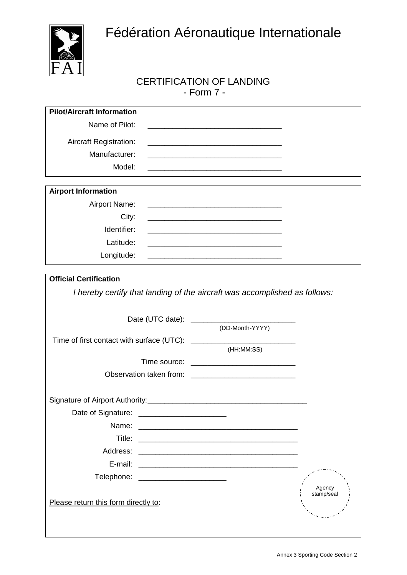

## CERTIFICATION OF LANDING - Form 7 -

| <b>Pilot/Aircraft Information</b>    |                                                                            |
|--------------------------------------|----------------------------------------------------------------------------|
| Name of Pilot:                       | <u> 1989 - Johann Barn, mars an t-Amerikaansk politiker (* 1908)</u>       |
| <b>Aircraft Registration:</b>        |                                                                            |
| Manufacturer:                        | <u> 1989 - Johann Stoff, Amerikaansk politiker (* 1908)</u>                |
| Model:                               |                                                                            |
|                                      |                                                                            |
| <b>Airport Information</b>           |                                                                            |
| Airport Name:                        |                                                                            |
| City:                                |                                                                            |
| Identifier:                          |                                                                            |
| Latitude:                            |                                                                            |
| Longitude:                           |                                                                            |
|                                      |                                                                            |
| <b>Official Certification</b>        |                                                                            |
|                                      | I hereby certify that landing of the aircraft was accomplished as follows: |
|                                      |                                                                            |
|                                      |                                                                            |
|                                      | (DD-Month-YYYY)                                                            |
|                                      | (HH:MM:SS)                                                                 |
|                                      |                                                                            |
|                                      |                                                                            |
|                                      |                                                                            |
|                                      |                                                                            |
| Date of Signature:                   |                                                                            |
| Name:                                |                                                                            |
| Title:                               |                                                                            |
| Address:                             |                                                                            |
| E-mail:                              |                                                                            |
| Telephone: ________________________  |                                                                            |
|                                      | Agency                                                                     |
| Please return this form directly to: | stamp/seal                                                                 |
|                                      |                                                                            |
|                                      |                                                                            |
|                                      |                                                                            |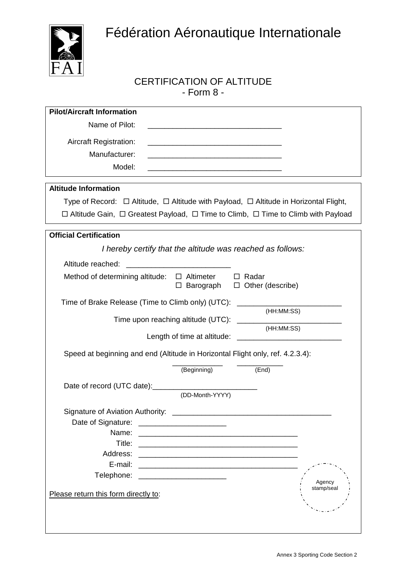

 $\mathsf{l}$ 

## CERTIFICATION OF ALTITUDE - Form 8 -

| <b>Pilot/Aircraft Information</b>                                                                                                      |                         |
|----------------------------------------------------------------------------------------------------------------------------------------|-------------------------|
| Name of Pilot:<br><u> 1980 - Jan James James Barnett, martin amerikan basar dan berasal dalam basa dalam basar dalam basar dalam b</u> |                         |
| <b>Aircraft Registration:</b>                                                                                                          |                         |
| Manufacturer:                                                                                                                          |                         |
| Model:                                                                                                                                 |                         |
|                                                                                                                                        |                         |
| <b>Altitude Information</b>                                                                                                            |                         |
| Type of Record: $\Box$ Altitude, $\Box$ Altitude with Payload, $\Box$ Altitude in Horizontal Flight,                                   |                         |
| $\Box$ Altitude Gain, $\Box$ Greatest Payload, $\Box$ Time to Climb, $\Box$ Time to Climb with Payload                                 |                         |
| <b>Official Certification</b>                                                                                                          |                         |
| I hereby certify that the altitude was reached as follows:                                                                             |                         |
| Altitude reached:                                                                                                                      |                         |
| Method of determining altitude: $\Box$ Altimeter                                                                                       | $\Box$ Radar            |
| Barograph<br>□                                                                                                                         | $\Box$ Other (describe) |
| Time of Brake Release (Time to Climb only) (UTC):                                                                                      |                         |
|                                                                                                                                        | (HH:MM:SS)              |
| Time upon reaching altitude (UTC):                                                                                                     | (HH:MM:SS)              |
| Length of time at altitude:                                                                                                            |                         |
| Speed at beginning and end (Altitude in Horizontal Flight only, ref. 4.2.3.4):                                                         |                         |
| (Beginning)                                                                                                                            | (End)                   |
|                                                                                                                                        |                         |
| Date of record (UTC date): [2010] Date of record (UTC date):<br>(DD-Month-YYYY)                                                        |                         |
| Signature of Aviation Authority: ______________                                                                                        |                         |
| Date of Signature:                                                                                                                     |                         |
|                                                                                                                                        |                         |
| Title:<br><u> 1980 - Jan James James Barnett, fransk politik (d. 1980)</u>                                                             |                         |
|                                                                                                                                        |                         |
| E-mail:                                                                                                                                |                         |
| Telephone: _______________________                                                                                                     |                         |
|                                                                                                                                        | Agency<br>stamp/seal    |
| Please return this form directly to:                                                                                                   |                         |
|                                                                                                                                        |                         |
|                                                                                                                                        |                         |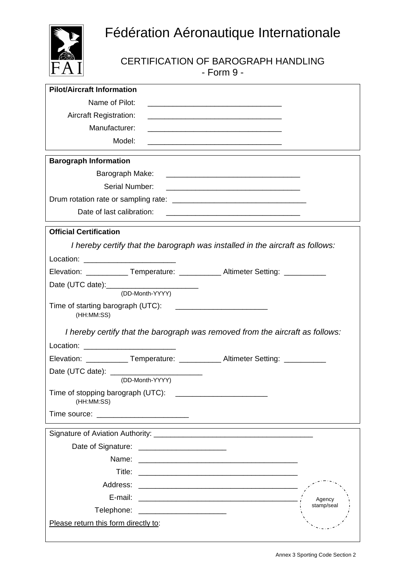

CERTIFICATION OF BAROGRAPH HANDLING - Form 9 -

| <b>Pilot/Aircraft Information</b>                                                                                                                      |
|--------------------------------------------------------------------------------------------------------------------------------------------------------|
| Name of Pilot:                                                                                                                                         |
| <b>Aircraft Registration:</b><br><u> 1989 - Johann Stoff, deutscher Stoff, der Stoff, der Stoff, der Stoff, der Stoff, der Stoff, der Stoff, der S</u> |
| Manufacturer:<br><u> 1989 - Johann Barbara, martxa alemaniar argumento estas políticas en la contrada de la contrada de la contrad</u>                 |
| Model:                                                                                                                                                 |
| <b>Barograph Information</b>                                                                                                                           |
|                                                                                                                                                        |
| Serial Number:<br><u> 2000 - Jan James James Jan James James James James James James James James James James James James James Jam</u>                 |
|                                                                                                                                                        |
| Date of last calibration:<br><u> 1989 - Johann Stoff, deutscher Stoff, der Stoff, der Stoff, der Stoff, der Stoff, der Stoff, der Stoff, der S</u>     |
| <b>Official Certification</b>                                                                                                                          |
| I hereby certify that the barograph was installed in the aircraft as follows:                                                                          |
| Location: ___________________________                                                                                                                  |
| Elevation: _____________Temperature: _____________Altimeter Setting: ___________                                                                       |
|                                                                                                                                                        |
| (DD-Month-YYYY)                                                                                                                                        |
| (HH:MM:SS)                                                                                                                                             |
| I hereby certify that the barograph was removed from the aircraft as follows:                                                                          |
| Location: ____________________________                                                                                                                 |
| Elevation: _____________Temperature: _____________Altimeter Setting: ___________                                                                       |
|                                                                                                                                                        |
| (DD-Month-YYYY)                                                                                                                                        |
| Time of stopping barograph (UTC):<br>(HH:MM:SS)                                                                                                        |
|                                                                                                                                                        |
|                                                                                                                                                        |
| Date of Signature: <u>___________________________</u>                                                                                                  |
|                                                                                                                                                        |
|                                                                                                                                                        |
|                                                                                                                                                        |
| Agency                                                                                                                                                 |
| stamp/seal<br>Telephone: ________________________                                                                                                      |
| Please return this form directly to:                                                                                                                   |
|                                                                                                                                                        |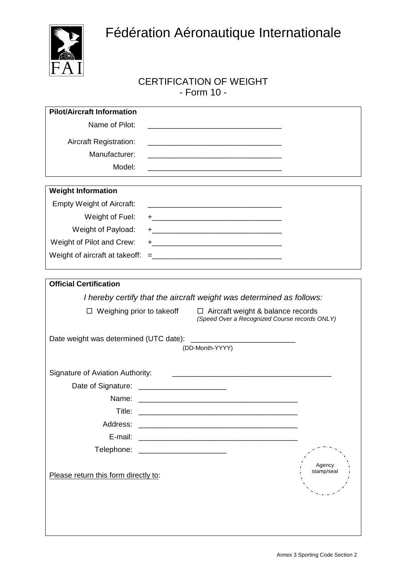

#### CERTIFICATION OF WEIGHT - Form 10 -

| <b>Pilot/Aircraft Information</b>                                                                                                       |                      |
|-----------------------------------------------------------------------------------------------------------------------------------------|----------------------|
| Name of Pilot:<br><u> 1989 - Johann John Stone, meil in der Stone aus der Stone aus der Stone aus der Stone aus der Stone aus der S</u> |                      |
| <b>Aircraft Registration:</b>                                                                                                           |                      |
| Manufacturer:                                                                                                                           |                      |
| Model:<br><u> 1980 - Johann John Stone, mars eta biztanleria (h. 1980).</u>                                                             |                      |
| <b>Weight Information</b>                                                                                                               |                      |
| <b>Empty Weight of Aircraft:</b><br><u> 1989 - Johann Barbara, margaret eta idazlearia (h. 1989).</u>                                   |                      |
| Weight of Fuel:                                                                                                                         |                      |
| Weight of Payload:                                                                                                                      |                      |
| Weight of Pilot and Crew:                                                                                                               |                      |
| Weight of aircraft at takeoff:                                                                                                          |                      |
|                                                                                                                                         |                      |
| <b>Official Certification</b>                                                                                                           |                      |
| I hereby certify that the aircraft weight was determined as follows:                                                                    |                      |
| $\Box$ Aircraft weight & balance records<br>$\Box$ Weighing prior to takeoff<br>(Speed Over a Recognized Course records ONLY)           |                      |
|                                                                                                                                         |                      |
| Date weight was determined (UTC date):<br>(DD-Month-YYYY)                                                                               |                      |
|                                                                                                                                         |                      |
| Signature of Aviation Authority:                                                                                                        |                      |
|                                                                                                                                         |                      |
| Title:                                                                                                                                  |                      |
| Address:                                                                                                                                |                      |
| E-mail:                                                                                                                                 |                      |
| Telephone: __________________________                                                                                                   |                      |
|                                                                                                                                         |                      |
| Please return this form directly to:                                                                                                    | Agency<br>stamp/seal |
|                                                                                                                                         |                      |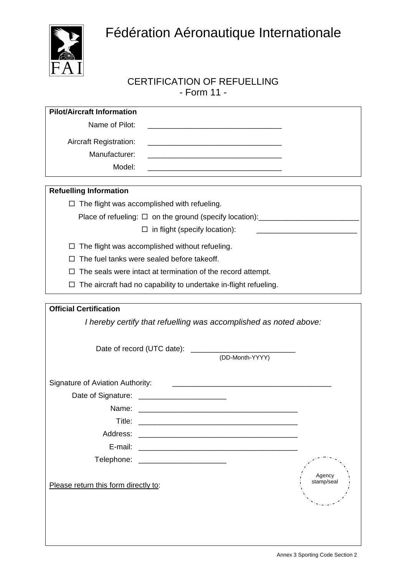

## CERTIFICATION OF REFUELLING - Form 11 -

| <b>Pilot/Aircraft Information</b>                                                                                                |                                                      |
|----------------------------------------------------------------------------------------------------------------------------------|------------------------------------------------------|
| Name of Pilot:                                                                                                                   |                                                      |
| <b>Aircraft Registration:</b>                                                                                                    |                                                      |
| Manufacturer:                                                                                                                    |                                                      |
| Model:                                                                                                                           |                                                      |
| <b>Refuelling Information</b>                                                                                                    |                                                      |
| $\Box$ The flight was accomplished with refueling.                                                                               |                                                      |
| Place of refueling: □ on the ground (specify location): ________________________                                                 |                                                      |
| $\Box$ in flight (specify location):                                                                                             | <u> 1989 - Johann Stoff, Amerikaansk politiker (</u> |
| The flight was accomplished without refueling.<br>$\Box$                                                                         |                                                      |
| The fuel tanks were sealed before takeoff.<br>$\Box$                                                                             |                                                      |
| The seals were intact at termination of the record attempt.<br>$\Box$                                                            |                                                      |
| The aircraft had no capability to undertake in-flight refueling.<br>□                                                            |                                                      |
|                                                                                                                                  |                                                      |
| <b>Official Certification</b>                                                                                                    |                                                      |
| (DD-Month-YYYY)                                                                                                                  |                                                      |
| Signature of Aviation Authority:                                                                                                 |                                                      |
|                                                                                                                                  |                                                      |
| Name:                                                                                                                            |                                                      |
| Title:<br><u> 2000 - Jan Jan James, martin de filosofoar (h. 1952).</u>                                                          |                                                      |
| Address:                                                                                                                         |                                                      |
| E-mail:<br><u> 1980 - Jan James James James James James James James James James James James James James James James James Ja</u> |                                                      |
| Telephone: ________________________                                                                                              |                                                      |
|                                                                                                                                  | Agency                                               |
| Please return this form directly to:                                                                                             | stamp/seal                                           |
|                                                                                                                                  |                                                      |
|                                                                                                                                  |                                                      |
|                                                                                                                                  |                                                      |
|                                                                                                                                  |                                                      |